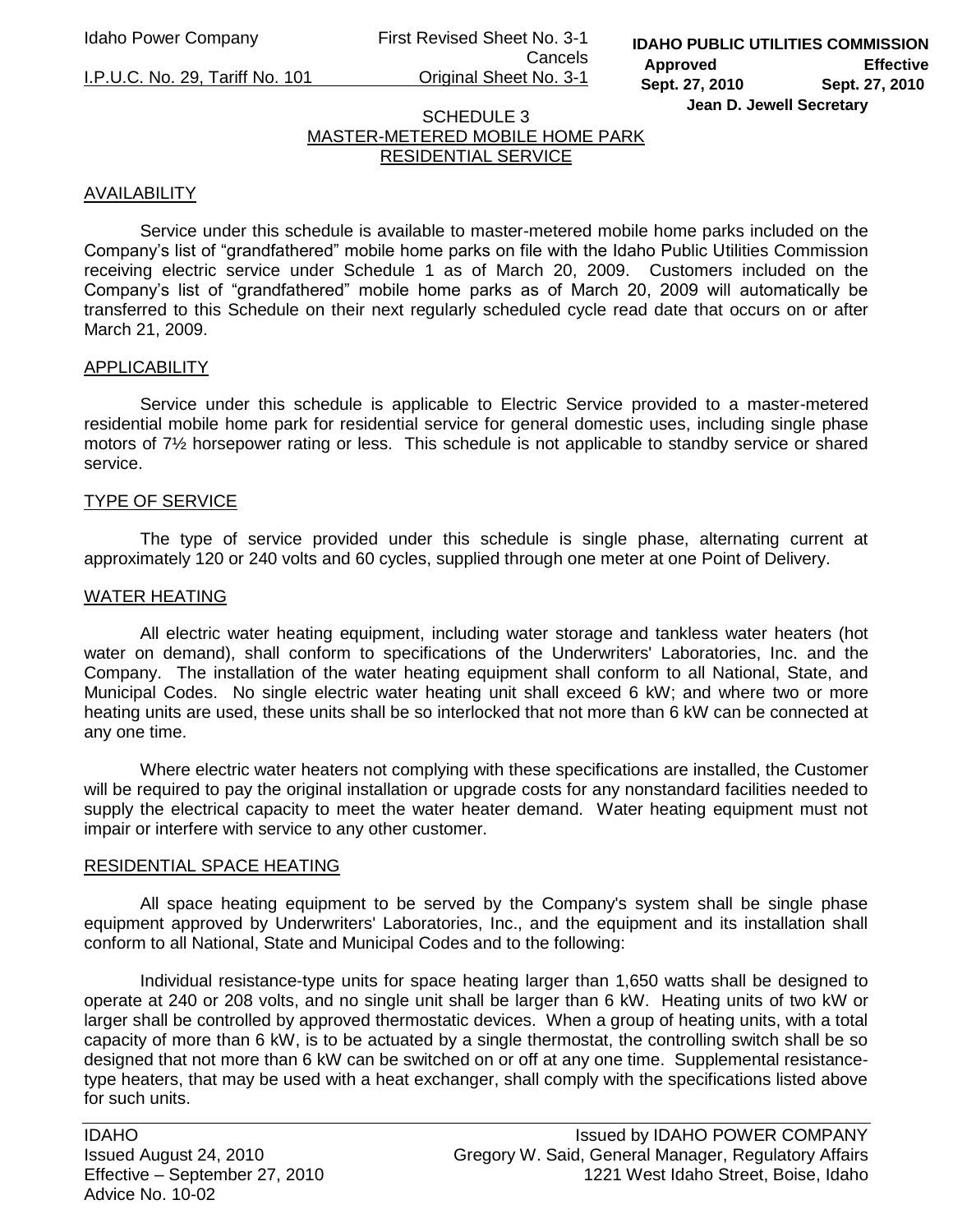Idaho Power Company First Revised Sheet No. 3-1 Cancels

I.P.U.C. No. 29, Tariff No. 101 Original Sheet No. 3-1

# SCHEDULE 3 MASTER-METERED MOBILE HOME PARK RESIDENTIAL SERVICE

# AVAILABILITY

Service under this schedule is available to master-metered mobile home parks included on the Company's list of "grandfathered" mobile home parks on file with the Idaho Public Utilities Commission receiving electric service under Schedule 1 as of March 20, 2009. Customers included on the Company's list of "grandfathered" mobile home parks as of March 20, 2009 will automatically be transferred to this Schedule on their next regularly scheduled cycle read date that occurs on or after March 21, 2009.

## APPLICABILITY

Service under this schedule is applicable to Electric Service provided to a master-metered residential mobile home park for residential service for general domestic uses, including single phase motors of 7½ horsepower rating or less. This schedule is not applicable to standby service or shared service.

## TYPE OF SERVICE

The type of service provided under this schedule is single phase, alternating current at approximately 120 or 240 volts and 60 cycles, supplied through one meter at one Point of Delivery.

## WATER HEATING

All electric water heating equipment, including water storage and tankless water heaters (hot water on demand), shall conform to specifications of the Underwriters' Laboratories, Inc. and the Company. The installation of the water heating equipment shall conform to all National, State, and Municipal Codes. No single electric water heating unit shall exceed 6 kW; and where two or more heating units are used, these units shall be so interlocked that not more than 6 kW can be connected at any one time.

Where electric water heaters not complying with these specifications are installed, the Customer will be required to pay the original installation or upgrade costs for any nonstandard facilities needed to supply the electrical capacity to meet the water heater demand. Water heating equipment must not impair or interfere with service to any other customer.

#### RESIDENTIAL SPACE HEATING

All space heating equipment to be served by the Company's system shall be single phase equipment approved by Underwriters' Laboratories, Inc., and the equipment and its installation shall conform to all National, State and Municipal Codes and to the following:

Individual resistance-type units for space heating larger than 1,650 watts shall be designed to operate at 240 or 208 volts, and no single unit shall be larger than 6 kW. Heating units of two kW or larger shall be controlled by approved thermostatic devices. When a group of heating units, with a total capacity of more than 6 kW, is to be actuated by a single thermostat, the controlling switch shall be so designed that not more than 6 kW can be switched on or off at any one time. Supplemental resistancetype heaters, that may be used with a heat exchanger, shall comply with the specifications listed above for such units.